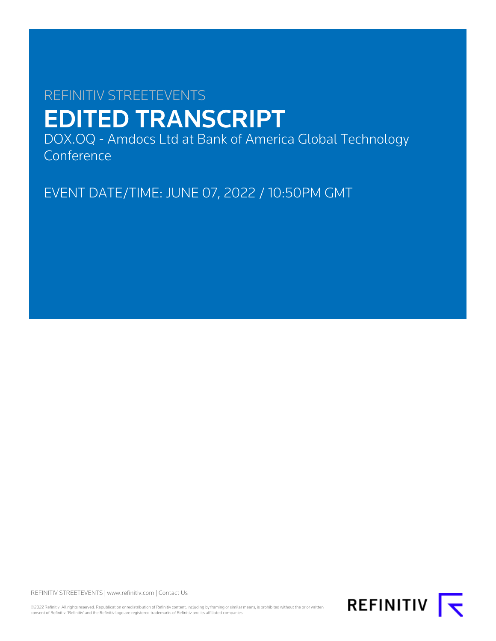# REFINITIV STREETEVENTS EDITED TRANSCRIPT

DOX.OQ - Amdocs Ltd at Bank of America Global Technology Conference

EVENT DATE/TIME: JUNE 07, 2022 / 10:50PM GMT

REFINITIV STREETEVENTS | [www.refinitiv.com](https://www.refinitiv.com/) | [Contact Us](https://www.refinitiv.com/en/contact-us)

©2022 Refinitiv. All rights reserved. Republication or redistribution of Refinitiv content, including by framing or similar means, is prohibited without the prior written<br>consent of Refinitiv. 'Refinitiv' and the Refinitiv

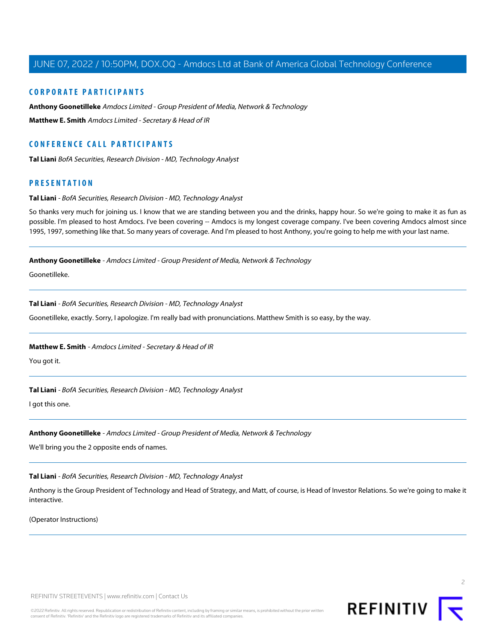# **CORPORATE PARTICIPANTS**

**[Anthony Goonetilleke](#page-1-0)** Amdocs Limited - Group President of Media, Network & Technology **[Matthew E. Smith](#page-1-1)** Amdocs Limited - Secretary & Head of IR

# **CONFERENCE CALL PARTICIPANTS**

**[Tal Liani](#page-1-2)** BofA Securities, Research Division - MD, Technology Analyst

# <span id="page-1-2"></span>**PRESENTATION**

#### **Tal Liani** - BofA Securities, Research Division - MD, Technology Analyst

<span id="page-1-0"></span>So thanks very much for joining us. I know that we are standing between you and the drinks, happy hour. So we're going to make it as fun as possible. I'm pleased to host Amdocs. I've been covering -- Amdocs is my longest coverage company. I've been covering Amdocs almost since 1995, 1997, something like that. So many years of coverage. And I'm pleased to host Anthony, you're going to help me with your last name.

**Anthony Goonetilleke** - Amdocs Limited - Group President of Media, Network & Technology

Goonetilleke.

#### **Tal Liani** - BofA Securities, Research Division - MD, Technology Analyst

<span id="page-1-1"></span>Goonetilleke, exactly. Sorry, I apologize. I'm really bad with pronunciations. Matthew Smith is so easy, by the way.

# **Matthew E. Smith** - Amdocs Limited - Secretary & Head of IR

You got it.

# **Tal Liani** - BofA Securities, Research Division - MD, Technology Analyst

I got this one.

# **Anthony Goonetilleke** - Amdocs Limited - Group President of Media, Network & Technology

We'll bring you the 2 opposite ends of names.

# **Tal Liani** - BofA Securities, Research Division - MD, Technology Analyst

Anthony is the Group President of Technology and Head of Strategy, and Matt, of course, is Head of Investor Relations. So we're going to make it interactive.

(Operator Instructions)



 $\supset$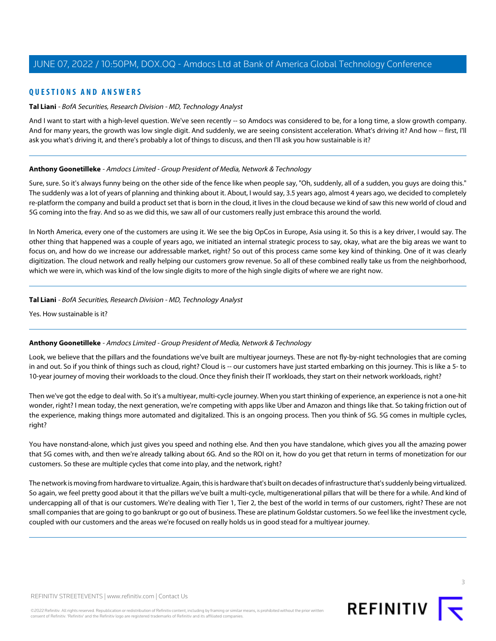# **QUESTIONS AND ANSWERS**

# **Tal Liani** - BofA Securities, Research Division - MD, Technology Analyst

And I want to start with a high-level question. We've seen recently -- so Amdocs was considered to be, for a long time, a slow growth company. And for many years, the growth was low single digit. And suddenly, we are seeing consistent acceleration. What's driving it? And how -- first, I'll ask you what's driving it, and there's probably a lot of things to discuss, and then I'll ask you how sustainable is it?

#### **Anthony Goonetilleke** - Amdocs Limited - Group President of Media, Network & Technology

Sure, sure. So it's always funny being on the other side of the fence like when people say, "Oh, suddenly, all of a sudden, you guys are doing this." The suddenly was a lot of years of planning and thinking about it. About, I would say, 3.5 years ago, almost 4 years ago, we decided to completely re-platform the company and build a product set that is born in the cloud, it lives in the cloud because we kind of saw this new world of cloud and 5G coming into the fray. And so as we did this, we saw all of our customers really just embrace this around the world.

In North America, every one of the customers are using it. We see the big OpCos in Europe, Asia using it. So this is a key driver, I would say. The other thing that happened was a couple of years ago, we initiated an internal strategic process to say, okay, what are the big areas we want to focus on, and how do we increase our addressable market, right? So out of this process came some key kind of thinking. One of it was clearly digitization. The cloud network and really helping our customers grow revenue. So all of these combined really take us from the neighborhood, which we were in, which was kind of the low single digits to more of the high single digits of where we are right now.

#### **Tal Liani** - BofA Securities, Research Division - MD, Technology Analyst

Yes. How sustainable is it?

# **Anthony Goonetilleke** - Amdocs Limited - Group President of Media, Network & Technology

Look, we believe that the pillars and the foundations we've built are multiyear journeys. These are not fly-by-night technologies that are coming in and out. So if you think of things such as cloud, right? Cloud is -- our customers have just started embarking on this journey. This is like a 5- to 10-year journey of moving their workloads to the cloud. Once they finish their IT workloads, they start on their network workloads, right?

Then we've got the edge to deal with. So it's a multiyear, multi-cycle journey. When you start thinking of experience, an experience is not a one-hit wonder, right? I mean today, the next generation, we're competing with apps like Uber and Amazon and things like that. So taking friction out of the experience, making things more automated and digitalized. This is an ongoing process. Then you think of 5G. 5G comes in multiple cycles, right?

You have nonstand-alone, which just gives you speed and nothing else. And then you have standalone, which gives you all the amazing power that 5G comes with, and then we're already talking about 6G. And so the ROI on it, how do you get that return in terms of monetization for our customers. So these are multiple cycles that come into play, and the network, right?

The network is moving from hardware to virtualize. Again, this is hardware that's built on decades of infrastructure that's suddenly being virtualized. So again, we feel pretty good about it that the pillars we've built a multi-cycle, multigenerational pillars that will be there for a while. And kind of undercapping all of that is our customers. We're dealing with Tier 1, Tier 2, the best of the world in terms of our customers, right? These are not small companies that are going to go bankrupt or go out of business. These are platinum Goldstar customers. So we feel like the investment cycle, coupled with our customers and the areas we're focused on really holds us in good stead for a multiyear journey.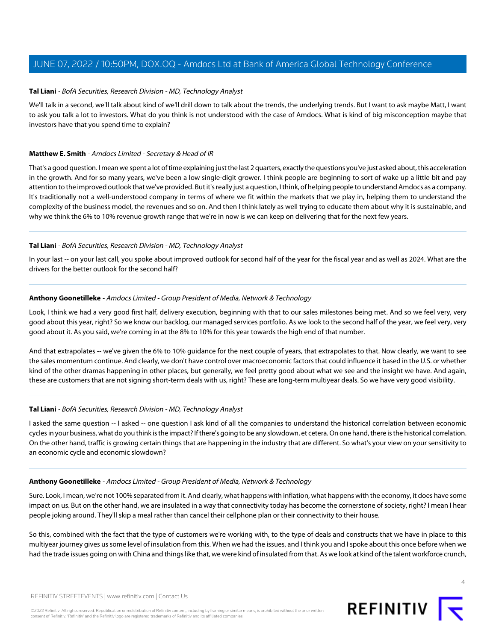#### **Tal Liani** - BofA Securities, Research Division - MD, Technology Analyst

We'll talk in a second, we'll talk about kind of we'll drill down to talk about the trends, the underlying trends. But I want to ask maybe Matt, I want to ask you talk a lot to investors. What do you think is not understood with the case of Amdocs. What is kind of big misconception maybe that investors have that you spend time to explain?

#### **Matthew E. Smith** - Amdocs Limited - Secretary & Head of IR

That's a good question. I mean we spent a lot of time explaining just the last 2 quarters, exactly the questions you've just asked about, this acceleration in the growth. And for so many years, we've been a low single-digit grower. I think people are beginning to sort of wake up a little bit and pay attention to the improved outlook that we've provided. But it's really just a question, I think, of helping people to understand Amdocs as a company. It's traditionally not a well-understood company in terms of where we fit within the markets that we play in, helping them to understand the complexity of the business model, the revenues and so on. And then I think lately as well trying to educate them about why it is sustainable, and why we think the 6% to 10% revenue growth range that we're in now is we can keep on delivering that for the next few years.

#### **Tal Liani** - BofA Securities, Research Division - MD, Technology Analyst

In your last -- on your last call, you spoke about improved outlook for second half of the year for the fiscal year and as well as 2024. What are the drivers for the better outlook for the second half?

#### **Anthony Goonetilleke** - Amdocs Limited - Group President of Media, Network & Technology

Look, I think we had a very good first half, delivery execution, beginning with that to our sales milestones being met. And so we feel very, very good about this year, right? So we know our backlog, our managed services portfolio. As we look to the second half of the year, we feel very, very good about it. As you said, we're coming in at the 8% to 10% for this year towards the high end of that number.

And that extrapolates -- we've given the 6% to 10% guidance for the next couple of years, that extrapolates to that. Now clearly, we want to see the sales momentum continue. And clearly, we don't have control over macroeconomic factors that could influence it based in the U.S. or whether kind of the other dramas happening in other places, but generally, we feel pretty good about what we see and the insight we have. And again, these are customers that are not signing short-term deals with us, right? These are long-term multiyear deals. So we have very good visibility.

# **Tal Liani** - BofA Securities, Research Division - MD, Technology Analyst

I asked the same question -- I asked -- one question I ask kind of all the companies to understand the historical correlation between economic cycles in your business, what do you think is the impact? If there's going to be any slowdown, et cetera. On one hand, there is the historical correlation. On the other hand, traffic is growing certain things that are happening in the industry that are different. So what's your view on your sensitivity to an economic cycle and economic slowdown?

#### **Anthony Goonetilleke** - Amdocs Limited - Group President of Media, Network & Technology

Sure. Look, I mean, we're not 100% separated from it. And clearly, what happens with inflation, what happens with the economy, it does have some impact on us. But on the other hand, we are insulated in a way that connectivity today has become the cornerstone of society, right? I mean I hear people joking around. They'll skip a meal rather than cancel their cellphone plan or their connectivity to their house.

So this, combined with the fact that the type of customers we're working with, to the type of deals and constructs that we have in place to this multiyear journey gives us some level of insulation from this. When we had the issues, and I think you and I spoke about this once before when we had the trade issues going on with China and things like that, we were kind of insulated from that. As we look at kind of the talent workforce crunch,

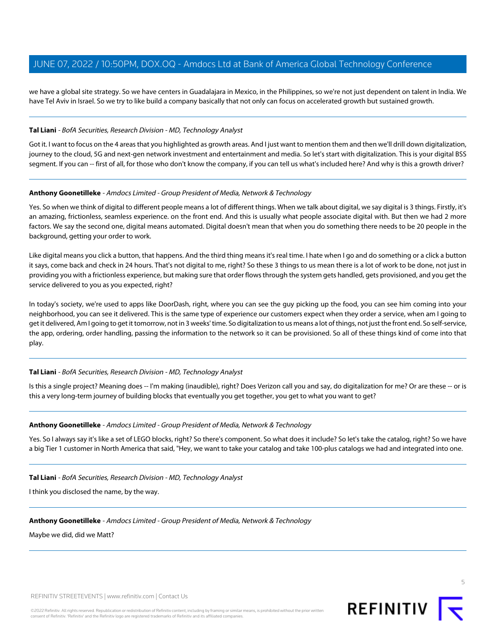we have a global site strategy. So we have centers in Guadalajara in Mexico, in the Philippines, so we're not just dependent on talent in India. We have Tel Aviv in Israel. So we try to like build a company basically that not only can focus on accelerated growth but sustained growth.

#### **Tal Liani** - BofA Securities, Research Division - MD, Technology Analyst

Got it. I want to focus on the 4 areas that you highlighted as growth areas. And I just want to mention them and then we'll drill down digitalization, journey to the cloud, 5G and next-gen network investment and entertainment and media. So let's start with digitalization. This is your digital BSS segment. If you can -- first of all, for those who don't know the company, if you can tell us what's included here? And why is this a growth driver?

#### **Anthony Goonetilleke** - Amdocs Limited - Group President of Media, Network & Technology

Yes. So when we think of digital to different people means a lot of different things. When we talk about digital, we say digital is 3 things. Firstly, it's an amazing, frictionless, seamless experience. on the front end. And this is usually what people associate digital with. But then we had 2 more factors. We say the second one, digital means automated. Digital doesn't mean that when you do something there needs to be 20 people in the background, getting your order to work.

Like digital means you click a button, that happens. And the third thing means it's real time. I hate when I go and do something or a click a button it says, come back and check in 24 hours. That's not digital to me, right? So these 3 things to us mean there is a lot of work to be done, not just in providing you with a frictionless experience, but making sure that order flows through the system gets handled, gets provisioned, and you get the service delivered to you as you expected, right?

In today's society, we're used to apps like DoorDash, right, where you can see the guy picking up the food, you can see him coming into your neighborhood, you can see it delivered. This is the same type of experience our customers expect when they order a service, when am I going to get it delivered, Am I going to get it tomorrow, not in 3 weeks' time. So digitalization to us means a lot of things, not just the front end. So self-service, the app, ordering, order handling, passing the information to the network so it can be provisioned. So all of these things kind of come into that play.

# **Tal Liani** - BofA Securities, Research Division - MD, Technology Analyst

Is this a single project? Meaning does -- I'm making (inaudible), right? Does Verizon call you and say, do digitalization for me? Or are these -- or is this a very long-term journey of building blocks that eventually you get together, you get to what you want to get?

# **Anthony Goonetilleke** - Amdocs Limited - Group President of Media, Network & Technology

Yes. So I always say it's like a set of LEGO blocks, right? So there's component. So what does it include? So let's take the catalog, right? So we have a big Tier 1 customer in North America that said, "Hey, we want to take your catalog and take 100-plus catalogs we had and integrated into one.

#### **Tal Liani** - BofA Securities, Research Division - MD, Technology Analyst

I think you disclosed the name, by the way.

# **Anthony Goonetilleke** - Amdocs Limited - Group President of Media, Network & Technology

Maybe we did, did we Matt?

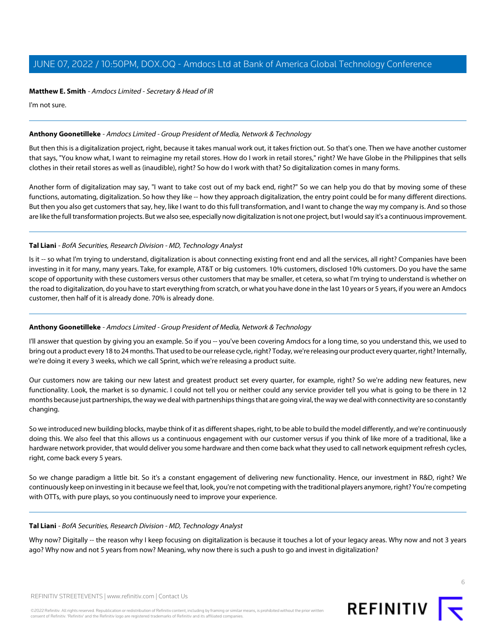# **Matthew E. Smith** - Amdocs Limited - Secretary & Head of IR

I'm not sure.

# **Anthony Goonetilleke** - Amdocs Limited - Group President of Media, Network & Technology

But then this is a digitalization project, right, because it takes manual work out, it takes friction out. So that's one. Then we have another customer that says, "You know what, I want to reimagine my retail stores. How do I work in retail stores," right? We have Globe in the Philippines that sells clothes in their retail stores as well as (inaudible), right? So how do I work with that? So digitalization comes in many forms.

Another form of digitalization may say, "I want to take cost out of my back end, right?" So we can help you do that by moving some of these functions, automating, digitalization. So how they like -- how they approach digitalization, the entry point could be for many different directions. But then you also get customers that say, hey, like I want to do this full transformation, and I want to change the way my company is. And so those are like the full transformation projects. But we also see, especially now digitalization is not one project, but I would say it's a continuous improvement.

# **Tal Liani** - BofA Securities, Research Division - MD, Technology Analyst

Is it -- so what I'm trying to understand, digitalization is about connecting existing front end and all the services, all right? Companies have been investing in it for many, many years. Take, for example, AT&T or big customers. 10% customers, disclosed 10% customers. Do you have the same scope of opportunity with these customers versus other customers that may be smaller, et cetera, so what I'm trying to understand is whether on the road to digitalization, do you have to start everything from scratch, or what you have done in the last 10 years or 5 years, if you were an Amdocs customer, then half of it is already done. 70% is already done.

# **Anthony Goonetilleke** - Amdocs Limited - Group President of Media, Network & Technology

I'll answer that question by giving you an example. So if you -- you've been covering Amdocs for a long time, so you understand this, we used to bring out a product every 18 to 24 months. That used to be our release cycle, right? Today, we're releasing our product every quarter, right? Internally, we're doing it every 3 weeks, which we call Sprint, which we're releasing a product suite.

Our customers now are taking our new latest and greatest product set every quarter, for example, right? So we're adding new features, new functionality. Look, the market is so dynamic. I could not tell you or neither could any service provider tell you what is going to be there in 12 months because just partnerships, the way we deal with partnerships things that are going viral, the way we deal with connectivity are so constantly changing.

So we introduced new building blocks, maybe think of it as different shapes, right, to be able to build the model differently, and we're continuously doing this. We also feel that this allows us a continuous engagement with our customer versus if you think of like more of a traditional, like a hardware network provider, that would deliver you some hardware and then come back what they used to call network equipment refresh cycles, right, come back every 5 years.

So we change paradigm a little bit. So it's a constant engagement of delivering new functionality. Hence, our investment in R&D, right? We continuously keep on investing in it because we feel that, look, you're not competing with the traditional players anymore, right? You're competing with OTTs, with pure plays, so you continuously need to improve your experience.

#### **Tal Liani** - BofA Securities, Research Division - MD, Technology Analyst

Why now? Digitally -- the reason why I keep focusing on digitalization is because it touches a lot of your legacy areas. Why now and not 3 years ago? Why now and not 5 years from now? Meaning, why now there is such a push to go and invest in digitalization?

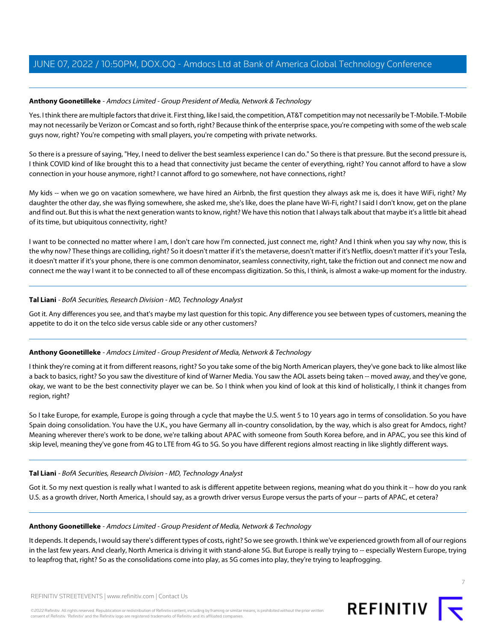# **Anthony Goonetilleke** - Amdocs Limited - Group President of Media, Network & Technology

Yes. I think there are multiple factors that drive it. First thing, like I said, the competition, AT&T competition may not necessarily be T-Mobile. T-Mobile may not necessarily be Verizon or Comcast and so forth, right? Because think of the enterprise space, you're competing with some of the web scale guys now, right? You're competing with small players, you're competing with private networks.

So there is a pressure of saying, "Hey, I need to deliver the best seamless experience I can do." So there is that pressure. But the second pressure is, I think COVID kind of like brought this to a head that connectivity just became the center of everything, right? You cannot afford to have a slow connection in your house anymore, right? I cannot afford to go somewhere, not have connections, right?

My kids -- when we go on vacation somewhere, we have hired an Airbnb, the first question they always ask me is, does it have WiFi, right? My daughter the other day, she was flying somewhere, she asked me, she's like, does the plane have Wi-Fi, right? I said I don't know, get on the plane and find out. But this is what the next generation wants to know, right? We have this notion that I always talk about that maybe it's a little bit ahead of its time, but ubiquitous connectivity, right?

I want to be connected no matter where I am, I don't care how I'm connected, just connect me, right? And I think when you say why now, this is the why now? These things are colliding, right? So it doesn't matter if it's the metaverse, doesn't matter if it's Netflix, doesn't matter if it's your Tesla, it doesn't matter if it's your phone, there is one common denominator, seamless connectivity, right, take the friction out and connect me now and connect me the way I want it to be connected to all of these encompass digitization. So this, I think, is almost a wake-up moment for the industry.

# **Tal Liani** - BofA Securities, Research Division - MD, Technology Analyst

Got it. Any differences you see, and that's maybe my last question for this topic. Any difference you see between types of customers, meaning the appetite to do it on the telco side versus cable side or any other customers?

# **Anthony Goonetilleke** - Amdocs Limited - Group President of Media, Network & Technology

I think they're coming at it from different reasons, right? So you take some of the big North American players, they've gone back to like almost like a back to basics, right? So you saw the divestiture of kind of Warner Media. You saw the AOL assets being taken -- moved away, and they've gone, okay, we want to be the best connectivity player we can be. So I think when you kind of look at this kind of holistically, I think it changes from region, right?

So I take Europe, for example, Europe is going through a cycle that maybe the U.S. went 5 to 10 years ago in terms of consolidation. So you have Spain doing consolidation. You have the U.K., you have Germany all in-country consolidation, by the way, which is also great for Amdocs, right? Meaning wherever there's work to be done, we're talking about APAC with someone from South Korea before, and in APAC, you see this kind of skip level, meaning they've gone from 4G to LTE from 4G to 5G. So you have different regions almost reacting in like slightly different ways.

# **Tal Liani** - BofA Securities, Research Division - MD, Technology Analyst

Got it. So my next question is really what I wanted to ask is different appetite between regions, meaning what do you think it -- how do you rank U.S. as a growth driver, North America, I should say, as a growth driver versus Europe versus the parts of your -- parts of APAC, et cetera?

# **Anthony Goonetilleke** - Amdocs Limited - Group President of Media, Network & Technology

It depends. It depends, I would say there's different types of costs, right? So we see growth. I think we've experienced growth from all of our regions in the last few years. And clearly, North America is driving it with stand-alone 5G. But Europe is really trying to -- especially Western Europe, trying to leapfrog that, right? So as the consolidations come into play, as 5G comes into play, they're trying to leapfrogging.

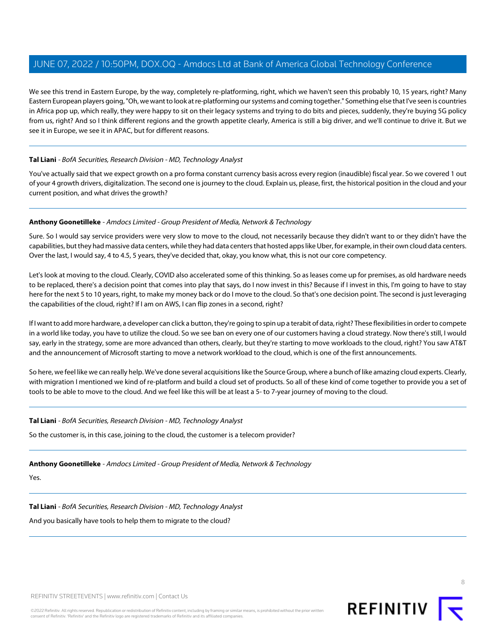We see this trend in Eastern Europe, by the way, completely re-platforming, right, which we haven't seen this probably 10, 15 years, right? Many Eastern European players going, "Oh, we want to look at re-platforming our systems and coming together." Something else that I've seen is countries in Africa pop up, which really, they were happy to sit on their legacy systems and trying to do bits and pieces, suddenly, they're buying 5G policy from us, right? And so I think different regions and the growth appetite clearly, America is still a big driver, and we'll continue to drive it. But we see it in Europe, we see it in APAC, but for different reasons.

# **Tal Liani** - BofA Securities, Research Division - MD, Technology Analyst

You've actually said that we expect growth on a pro forma constant currency basis across every region (inaudible) fiscal year. So we covered 1 out of your 4 growth drivers, digitalization. The second one is journey to the cloud. Explain us, please, first, the historical position in the cloud and your current position, and what drives the growth?

#### **Anthony Goonetilleke** - Amdocs Limited - Group President of Media, Network & Technology

Sure. So I would say service providers were very slow to move to the cloud, not necessarily because they didn't want to or they didn't have the capabilities, but they had massive data centers, while they had data centers that hosted apps like Uber, for example, in their own cloud data centers. Over the last, I would say, 4 to 4.5, 5 years, they've decided that, okay, you know what, this is not our core competency.

Let's look at moving to the cloud. Clearly, COVID also accelerated some of this thinking. So as leases come up for premises, as old hardware needs to be replaced, there's a decision point that comes into play that says, do I now invest in this? Because if I invest in this, I'm going to have to stay here for the next 5 to 10 years, right, to make my money back or do I move to the cloud. So that's one decision point. The second is just leveraging the capabilities of the cloud, right? If I am on AWS, I can flip zones in a second, right?

If I want to add more hardware, a developer can click a button, they're going to spin up a terabit of data, right? These flexibilities in order to compete in a world like today, you have to utilize the cloud. So we see ban on every one of our customers having a cloud strategy. Now there's still, I would say, early in the strategy, some are more advanced than others, clearly, but they're starting to move workloads to the cloud, right? You saw AT&T and the announcement of Microsoft starting to move a network workload to the cloud, which is one of the first announcements.

So here, we feel like we can really help. We've done several acquisitions like the Source Group, where a bunch of like amazing cloud experts. Clearly, with migration I mentioned we kind of re-platform and build a cloud set of products. So all of these kind of come together to provide you a set of tools to be able to move to the cloud. And we feel like this will be at least a 5- to 7-year journey of moving to the cloud.

#### **Tal Liani** - BofA Securities, Research Division - MD, Technology Analyst

So the customer is, in this case, joining to the cloud, the customer is a telecom provider?

# **Anthony Goonetilleke** - Amdocs Limited - Group President of Media, Network & Technology

Yes.

# **Tal Liani** - BofA Securities, Research Division - MD, Technology Analyst

And you basically have tools to help them to migrate to the cloud?

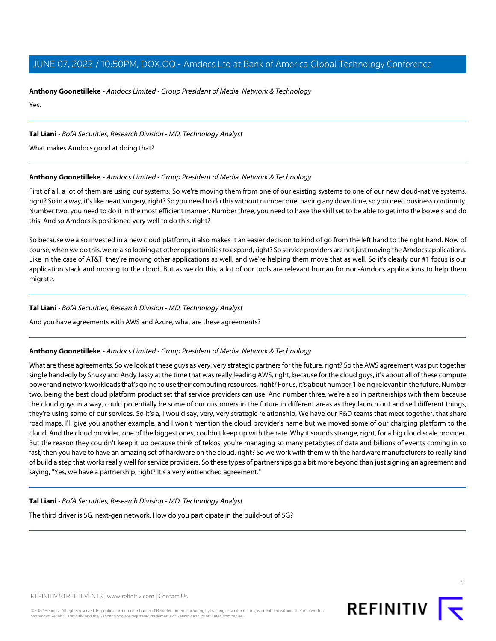**Anthony Goonetilleke** - Amdocs Limited - Group President of Media, Network & Technology

Yes.

# **Tal Liani** - BofA Securities, Research Division - MD, Technology Analyst

What makes Amdocs good at doing that?

# **Anthony Goonetilleke** - Amdocs Limited - Group President of Media, Network & Technology

First of all, a lot of them are using our systems. So we're moving them from one of our existing systems to one of our new cloud-native systems, right? So in a way, it's like heart surgery, right? So you need to do this without number one, having any downtime, so you need business continuity. Number two, you need to do it in the most efficient manner. Number three, you need to have the skill set to be able to get into the bowels and do this. And so Amdocs is positioned very well to do this, right?

So because we also invested in a new cloud platform, it also makes it an easier decision to kind of go from the left hand to the right hand. Now of course, when we do this, we're also looking at other opportunities to expand, right? So service providers are not just moving the Amdocs applications. Like in the case of AT&T, they're moving other applications as well, and we're helping them move that as well. So it's clearly our #1 focus is our application stack and moving to the cloud. But as we do this, a lot of our tools are relevant human for non-Amdocs applications to help them migrate.

# **Tal Liani** - BofA Securities, Research Division - MD, Technology Analyst

And you have agreements with AWS and Azure, what are these agreements?

# **Anthony Goonetilleke** - Amdocs Limited - Group President of Media, Network & Technology

What are these agreements. So we look at these guys as very, very strategic partners for the future. right? So the AWS agreement was put together single handedly by Shuky and Andy Jassy at the time that was really leading AWS, right, because for the cloud guys, it's about all of these compute power and network workloads that's going to use their computing resources, right? For us, it's about number 1 being relevant in the future. Number two, being the best cloud platform product set that service providers can use. And number three, we're also in partnerships with them because the cloud guys in a way, could potentially be some of our customers in the future in different areas as they launch out and sell different things, they're using some of our services. So it's a, I would say, very, very strategic relationship. We have our R&D teams that meet together, that share road maps. I'll give you another example, and I won't mention the cloud provider's name but we moved some of our charging platform to the cloud. And the cloud provider, one of the biggest ones, couldn't keep up with the rate. Why it sounds strange, right, for a big cloud scale provider. But the reason they couldn't keep it up because think of telcos, you're managing so many petabytes of data and billions of events coming in so fast, then you have to have an amazing set of hardware on the cloud. right? So we work with them with the hardware manufacturers to really kind of build a step that works really well for service providers. So these types of partnerships go a bit more beyond than just signing an agreement and saying, "Yes, we have a partnership, right? It's a very entrenched agreement."

# **Tal Liani** - BofA Securities, Research Division - MD, Technology Analyst

The third driver is 5G, next-gen network. How do you participate in the build-out of 5G?

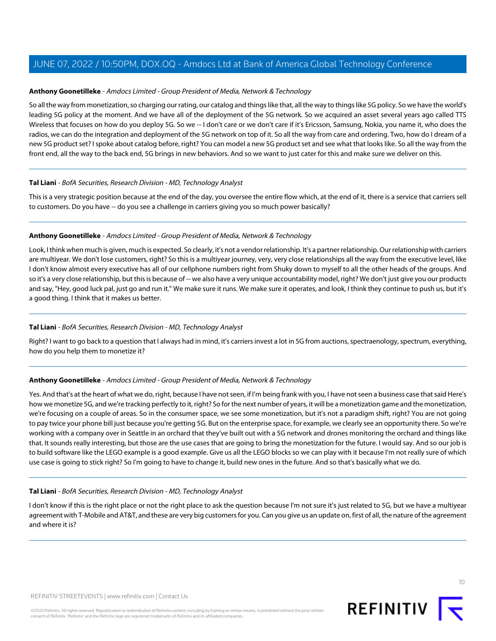#### **Anthony Goonetilleke** - Amdocs Limited - Group President of Media, Network & Technology

So all the way from monetization, so charging our rating, our catalog and things like that, all the way to things like 5G policy. So we have the world's leading 5G policy at the moment. And we have all of the deployment of the 5G network. So we acquired an asset several years ago called TTS Wireless that focuses on how do you deploy 5G. So we -- I don't care or we don't care if it's Ericsson, Samsung, Nokia, you name it, who does the radios, we can do the integration and deployment of the 5G network on top of it. So all the way from care and ordering. Two, how do I dream of a new 5G product set? I spoke about catalog before, right? You can model a new 5G product set and see what that looks like. So all the way from the front end, all the way to the back end, 5G brings in new behaviors. And so we want to just cater for this and make sure we deliver on this.

# **Tal Liani** - BofA Securities, Research Division - MD, Technology Analyst

This is a very strategic position because at the end of the day, you oversee the entire flow which, at the end of it, there is a service that carriers sell to customers. Do you have -- do you see a challenge in carriers giving you so much power basically?

#### **Anthony Goonetilleke** - Amdocs Limited - Group President of Media, Network & Technology

Look, I think when much is given, much is expected. So clearly, it's not a vendor relationship. It's a partner relationship. Our relationship with carriers are multiyear. We don't lose customers, right? So this is a multiyear journey, very, very close relationships all the way from the executive level, like I don't know almost every executive has all of our cellphone numbers right from Shuky down to myself to all the other heads of the groups. And so it's a very close relationship, but this is because of -- we also have a very unique accountability model, right? We don't just give you our products and say, "Hey, good luck pal, just go and run it." We make sure it runs. We make sure it operates, and look, I think they continue to push us, but it's a good thing. I think that it makes us better.

# **Tal Liani** - BofA Securities, Research Division - MD, Technology Analyst

Right? I want to go back to a question that I always had in mind, it's carriers invest a lot in 5G from auctions, spectraenology, spectrum, everything, how do you help them to monetize it?

# **Anthony Goonetilleke** - Amdocs Limited - Group President of Media, Network & Technology

Yes. And that's at the heart of what we do, right, because I have not seen, if I'm being frank with you, I have not seen a business case that said Here's how we monetize 5G, and we're tracking perfectly to it, right? So for the next number of years, it will be a monetization game and the monetization, we're focusing on a couple of areas. So in the consumer space, we see some monetization, but it's not a paradigm shift, right? You are not going to pay twice your phone bill just because you're getting 5G. But on the enterprise space, for example, we clearly see an opportunity there. So we're working with a company over in Seattle in an orchard that they've built out with a 5G network and drones monitoring the orchard and things like that. It sounds really interesting, but those are the use cases that are going to bring the monetization for the future. I would say. And so our job is to build software like the LEGO example is a good example. Give us all the LEGO blocks so we can play with it because I'm not really sure of which use case is going to stick right? So I'm going to have to change it, build new ones in the future. And so that's basically what we do.

# **Tal Liani** - BofA Securities, Research Division - MD, Technology Analyst

I don't know if this is the right place or not the right place to ask the question because I'm not sure it's just related to 5G, but we have a multiyear agreement with T-Mobile and AT&T, and these are very big customers for you. Can you give us an update on, first of all, the nature of the agreement and where it is?

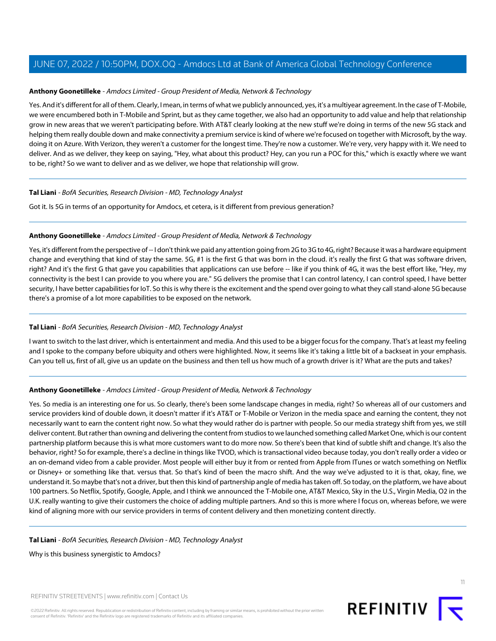#### **Anthony Goonetilleke** - Amdocs Limited - Group President of Media, Network & Technology

Yes. And it's different for all of them. Clearly, I mean, in terms of what we publicly announced, yes, it's a multiyear agreement. In the case of T-Mobile, we were encumbered both in T-Mobile and Sprint, but as they came together, we also had an opportunity to add value and help that relationship grow in new areas that we weren't participating before. With AT&T clearly looking at the new stuff we're doing in terms of the new 5G stack and helping them really double down and make connectivity a premium service is kind of where we're focused on together with Microsoft, by the way. doing it on Azure. With Verizon, they weren't a customer for the longest time. They're now a customer. We're very, very happy with it. We need to deliver. And as we deliver, they keep on saying, "Hey, what about this product? Hey, can you run a POC for this," which is exactly where we want to be, right? So we want to deliver and as we deliver, we hope that relationship will grow.

#### **Tal Liani** - BofA Securities, Research Division - MD, Technology Analyst

Got it. Is 5G in terms of an opportunity for Amdocs, et cetera, is it different from previous generation?

#### **Anthony Goonetilleke** - Amdocs Limited - Group President of Media, Network & Technology

Yes, it's different from the perspective of -- I don't think we paid any attention going from 2G to 3G to 4G, right? Because it was a hardware equipment change and everything that kind of stay the same. 5G, #1 is the first G that was born in the cloud. it's really the first G that was software driven, right? And it's the first G that gave you capabilities that applications can use before -- like if you think of 4G, it was the best effort like, "Hey, my connectivity is the best I can provide to you where you are." 5G delivers the promise that I can control latency, I can control speed, I have better security, I have better capabilities for IoT. So this is why there is the excitement and the spend over going to what they call stand-alone 5G because there's a promise of a lot more capabilities to be exposed on the network.

# **Tal Liani** - BofA Securities, Research Division - MD, Technology Analyst

I want to switch to the last driver, which is entertainment and media. And this used to be a bigger focus for the company. That's at least my feeling and I spoke to the company before ubiquity and others were highlighted. Now, it seems like it's taking a little bit of a backseat in your emphasis. Can you tell us, first of all, give us an update on the business and then tell us how much of a growth driver is it? What are the puts and takes?

# **Anthony Goonetilleke** - Amdocs Limited - Group President of Media, Network & Technology

Yes. So media is an interesting one for us. So clearly, there's been some landscape changes in media, right? So whereas all of our customers and service providers kind of double down, it doesn't matter if it's AT&T or T-Mobile or Verizon in the media space and earning the content, they not necessarily want to earn the content right now. So what they would rather do is partner with people. So our media strategy shift from yes, we still deliver content. But rather than owning and delivering the content from studios to we launched something called Market One, which is our content partnership platform because this is what more customers want to do more now. So there's been that kind of subtle shift and change. It's also the behavior, right? So for example, there's a decline in things like TVOD, which is transactional video because today, you don't really order a video or an on-demand video from a cable provider. Most people will either buy it from or rented from Apple from ITunes or watch something on Netflix or Disney+ or something like that. versus that. So that's kind of been the macro shift. And the way we've adjusted to it is that, okay, fine, we understand it. So maybe that's not a driver, but then this kind of partnership angle of media has taken off. So today, on the platform, we have about 100 partners. So Netflix, Spotify, Google, Apple, and I think we announced the T-Mobile one, AT&T Mexico, Sky in the U.S., Virgin Media, O2 in the U.K. really wanting to give their customers the choice of adding multiple partners. And so this is more where I focus on, whereas before, we were kind of aligning more with our service providers in terms of content delivery and then monetizing content directly.

#### **Tal Liani** - BofA Securities, Research Division - MD, Technology Analyst

Why is this business synergistic to Amdocs?

REFINITIV STREETEVENTS | [www.refinitiv.com](https://www.refinitiv.com/) | [Contact Us](https://www.refinitiv.com/en/contact-us)

©2022 Refinitiv. All rights reserved. Republication or redistribution of Refinitiv content, including by framing or similar means, is prohibited without the prior written consent of Refinitiv. 'Refinitiv' and the Refinitiv logo are registered trademarks of Refinitiv and its affiliated companies.

11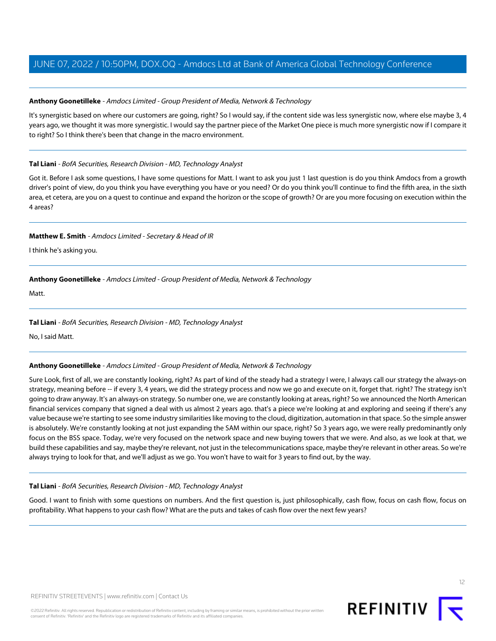# **Anthony Goonetilleke** - Amdocs Limited - Group President of Media, Network & Technology

It's synergistic based on where our customers are going, right? So I would say, if the content side was less synergistic now, where else maybe 3, 4 years ago, we thought it was more synergistic. I would say the partner piece of the Market One piece is much more synergistic now if I compare it to right? So I think there's been that change in the macro environment.

# **Tal Liani** - BofA Securities, Research Division - MD, Technology Analyst

Got it. Before I ask some questions, I have some questions for Matt. I want to ask you just 1 last question is do you think Amdocs from a growth driver's point of view, do you think you have everything you have or you need? Or do you think you'll continue to find the fifth area, in the sixth area, et cetera, are you on a quest to continue and expand the horizon or the scope of growth? Or are you more focusing on execution within the 4 areas?

# **Matthew E. Smith** - Amdocs Limited - Secretary & Head of IR

I think he's asking you.

# **Anthony Goonetilleke** - Amdocs Limited - Group President of Media, Network & Technology

Matt.

# **Tal Liani** - BofA Securities, Research Division - MD, Technology Analyst

No, I said Matt.

# **Anthony Goonetilleke** - Amdocs Limited - Group President of Media, Network & Technology

Sure Look, first of all, we are constantly looking, right? As part of kind of the steady had a strategy I were, I always call our strategy the always-on strategy, meaning before -- if every 3, 4 years, we did the strategy process and now we go and execute on it, forget that. right? The strategy isn't going to draw anyway. It's an always-on strategy. So number one, we are constantly looking at areas, right? So we announced the North American financial services company that signed a deal with us almost 2 years ago. that's a piece we're looking at and exploring and seeing if there's any value because we're starting to see some industry similarities like moving to the cloud, digitization, automation in that space. So the simple answer is absolutely. We're constantly looking at not just expanding the SAM within our space, right? So 3 years ago, we were really predominantly only focus on the BSS space. Today, we're very focused on the network space and new buying towers that we were. And also, as we look at that, we build these capabilities and say, maybe they're relevant, not just in the telecommunications space, maybe they're relevant in other areas. So we're always trying to look for that, and we'll adjust as we go. You won't have to wait for 3 years to find out, by the way.

# **Tal Liani** - BofA Securities, Research Division - MD, Technology Analyst

Good. I want to finish with some questions on numbers. And the first question is, just philosophically, cash flow, focus on cash flow, focus on profitability. What happens to your cash flow? What are the puts and takes of cash flow over the next few years?

12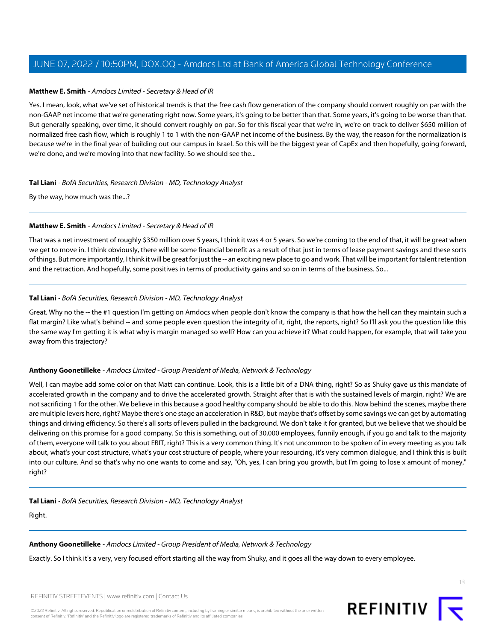# **Matthew E. Smith** - Amdocs Limited - Secretary & Head of IR

Yes. I mean, look, what we've set of historical trends is that the free cash flow generation of the company should convert roughly on par with the non-GAAP net income that we're generating right now. Some years, it's going to be better than that. Some years, it's going to be worse than that. But generally speaking, over time, it should convert roughly on par. So for this fiscal year that we're in, we're on track to deliver \$650 million of normalized free cash flow, which is roughly 1 to 1 with the non-GAAP net income of the business. By the way, the reason for the normalization is because we're in the final year of building out our campus in Israel. So this will be the biggest year of CapEx and then hopefully, going forward, we're done, and we're moving into that new facility. So we should see the...

#### **Tal Liani** - BofA Securities, Research Division - MD, Technology Analyst

By the way, how much was the...?

#### **Matthew E. Smith** - Amdocs Limited - Secretary & Head of IR

That was a net investment of roughly \$350 million over 5 years, I think it was 4 or 5 years. So we're coming to the end of that, it will be great when we get to move in. I think obviously, there will be some financial benefit as a result of that just in terms of lease payment savings and these sorts of things. But more importantly, I think it will be great for just the -- an exciting new place to go and work. That will be important for talent retention and the retraction. And hopefully, some positives in terms of productivity gains and so on in terms of the business. So...

#### **Tal Liani** - BofA Securities, Research Division - MD, Technology Analyst

Great. Why no the -- the #1 question I'm getting on Amdocs when people don't know the company is that how the hell can they maintain such a flat margin? Like what's behind -- and some people even question the integrity of it, right, the reports, right? So I'll ask you the question like this the same way I'm getting it is what why is margin managed so well? How can you achieve it? What could happen, for example, that will take you away from this trajectory?

# **Anthony Goonetilleke** - Amdocs Limited - Group President of Media, Network & Technology

Well, I can maybe add some color on that Matt can continue. Look, this is a little bit of a DNA thing, right? So as Shuky gave us this mandate of accelerated growth in the company and to drive the accelerated growth. Straight after that is with the sustained levels of margin, right? We are not sacrificing 1 for the other. We believe in this because a good healthy company should be able to do this. Now behind the scenes, maybe there are multiple levers here, right? Maybe there's one stage an acceleration in R&D, but maybe that's offset by some savings we can get by automating things and driving efficiency. So there's all sorts of levers pulled in the background. We don't take it for granted, but we believe that we should be delivering on this promise for a good company. So this is something, out of 30,000 employees, funnily enough, if you go and talk to the majority of them, everyone will talk to you about EBIT, right? This is a very common thing. It's not uncommon to be spoken of in every meeting as you talk about, what's your cost structure, what's your cost structure of people, where your resourcing, it's very common dialogue, and I think this is built into our culture. And so that's why no one wants to come and say, "Oh, yes, I can bring you growth, but I'm going to lose x amount of money," right?

**Tal Liani** - BofA Securities, Research Division - MD, Technology Analyst

Right.

#### **Anthony Goonetilleke** - Amdocs Limited - Group President of Media, Network & Technology

Exactly. So I think it's a very, very focused effort starting all the way from Shuky, and it goes all the way down to every employee.

REFINITIV STREETEVENTS | [www.refinitiv.com](https://www.refinitiv.com/) | [Contact Us](https://www.refinitiv.com/en/contact-us)